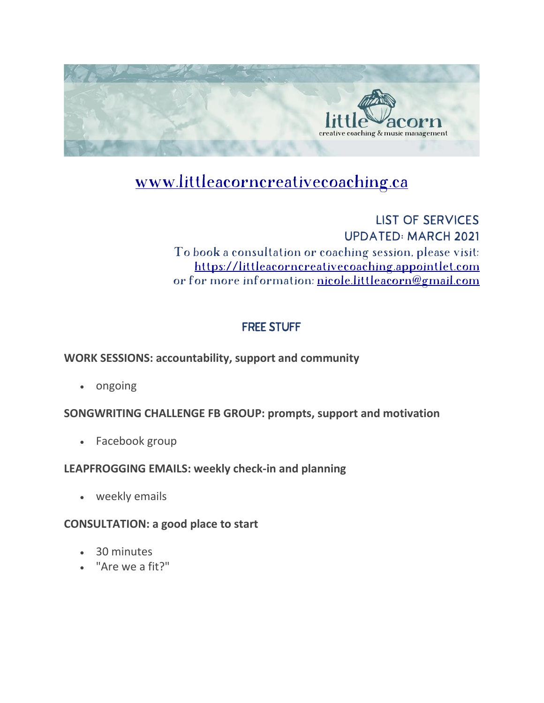

# www.littleacorncreativecoaching.ca

### **LIST OF SERVICES UPDATED: MARCH 2021** To book a consultation or coaching session, please visit: https://littleacorncreativecoaching.appointlet.com or for more information: nicole.littleacorn@gmail.com

# **FREE STUFF**

### **WORK SESSIONS: accountability, support and community**

• ongoing

**SONGWRITING CHALLENGE FB GROUP: prompts, support and motivation**

• Facebook group

### **LEAPFROGGING EMAILS: weekly check-in and planning**

• weekly emails

#### **CONSULTATION: a good place to start**

- 30 minutes
- "Are we a fit?"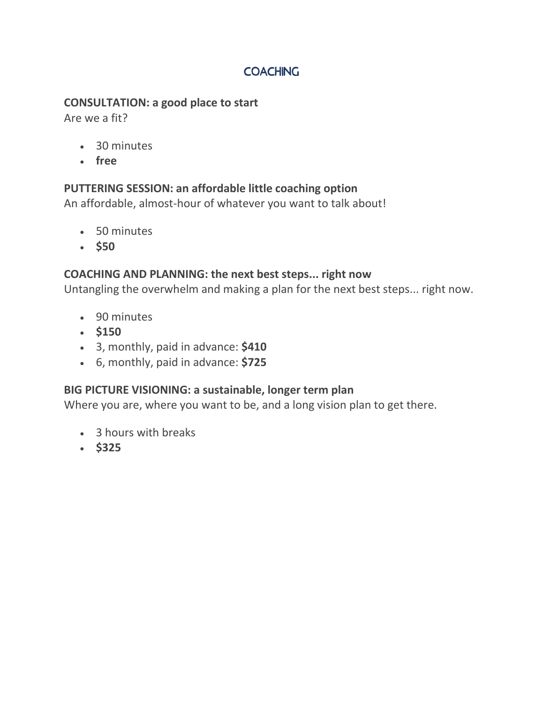### **COACHING**

#### **CONSULTATION: a good place to start**

Are we a fit?

- 30 minutes
- **free**

### **PUTTERING SESSION: an affordable little coaching option**

An affordable, almost-hour of whatever you want to talk about!

- 50 minutes
- **\$50**

#### **COACHING AND PLANNING: the next best steps... right now**

Untangling the overwhelm and making a plan for the next best steps... right now.

- 90 minutes
- **\$150**
- 3, monthly, paid in advance: **\$410**
- 6, monthly, paid in advance: **\$725**

#### **BIG PICTURE VISIONING: a sustainable, longer term plan**

Where you are, where you want to be, and a long vision plan to get there.

- 3 hours with breaks
- **\$325**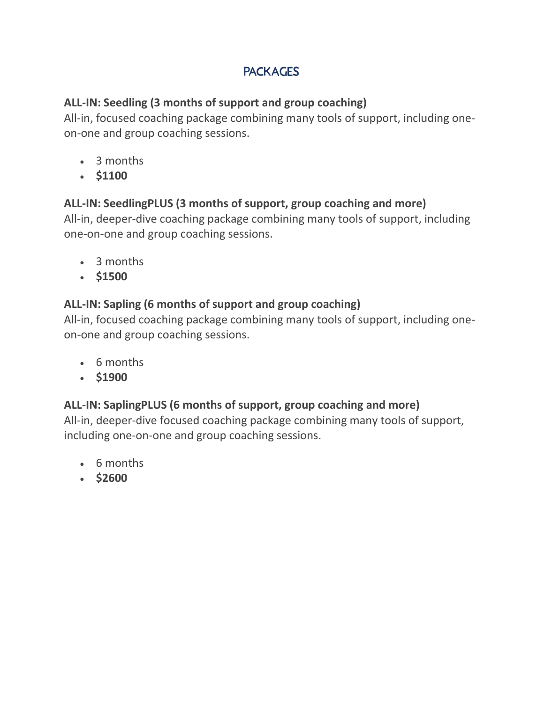# **PACKAGES**

### **ALL-IN: Seedling (3 months of support and group coaching)**

All-in, focused coaching package combining many tools of support, including oneon-one and group coaching sessions.

- 3 months
- **\$1100**

### **ALL-IN: SeedlingPLUS (3 months of support, group coaching and more)**

All-in, deeper-dive coaching package combining many tools of support, including one-on-one and group coaching sessions.

- 3 months
- **\$1500**

# **ALL-IN: Sapling (6 months of support and group coaching)**

All-in, focused coaching package combining many tools of support, including oneon-one and group coaching sessions.

- 6 months
- **\$1900**

# **ALL-IN: SaplingPLUS (6 months of support, group coaching and more)**

All-in, deeper-dive focused coaching package combining many tools of support, including one-on-one and group coaching sessions.

- 6 months
- **\$2600**